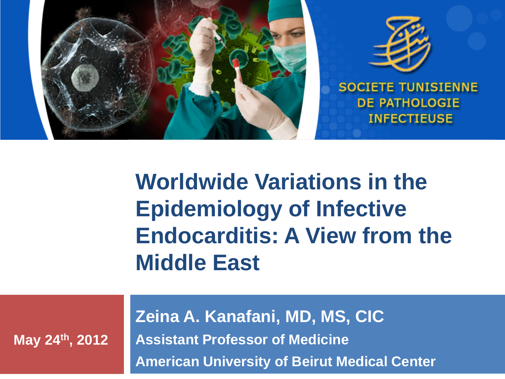

## **Worldwide Variations in the Epidemiology of Infective Endocarditis: A View from the Middle East**

**May 24th, 2012**

**Zeina A. Kanafani, MD, MS, CIC Assistant Professor of Medicine American University of Beirut Medical Center**